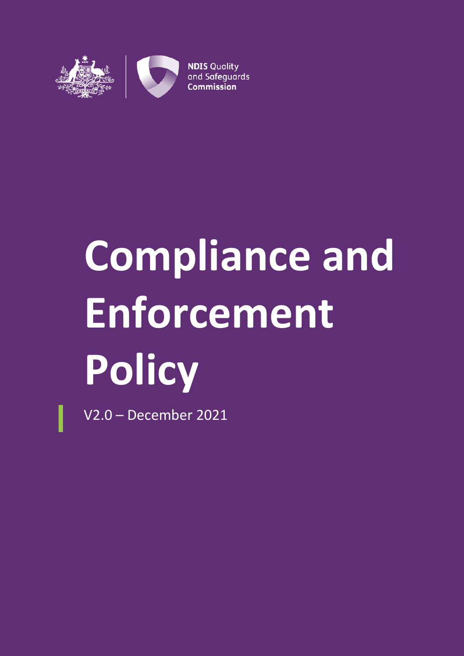

# **Compliance and Enforcement Policy**

V2.0 – December 2021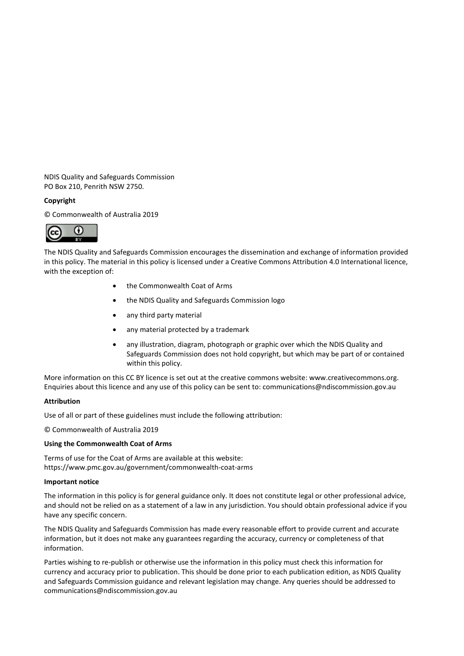NDIS Quality and Safeguards Commission PO Box 210, Penrith NSW 2750.

#### **Copyright**

© Commonwealth of Australia 2019



The NDIS Quality and Safeguards Commission encourages the dissemination and exchange of information provided in this policy. The material in this policy is licensed under a Creative Commons Attribution 4.0 International licence, with the exception of:

- the Commonwealth Coat of Arms
- the NDIS Quality and Safeguards Commission logo
- any third party material
- any material protected by a trademark
- any illustration, diagram, photograph or graphic over which the NDIS Quality and Safeguards Commission does not hold copyright, but which may be part of or contained within this policy.

More information on this CC BY licence is set out at the creative commons website: www.creativecommons.org. Enquiries about this licence and any use of this policy can be sent to: communications@ndiscommission.gov.au

#### **Attribution**

Use of all or part of these guidelines must include the following attribution:

© Commonwealth of Australia 2019

#### **Using the Commonwealth Coat of Arms**

Terms of use for the Coat of Arms are available at this website: https://www.pmc.gov.au/government/commonwealth-coat-arms

#### **Important notice**

The information in this policy is for general guidance only. It does not constitute legal or other professional advice, and should not be relied on as a statement of a law in any jurisdiction. You should obtain professional advice if you have any specific concern.

The NDIS Quality and Safeguards Commission has made every reasonable effort to provide current and accurate information, but it does not make any guarantees regarding the accuracy, currency or completeness of that information.

Parties wishing to re-publish or otherwise use the information in this policy must check this information for currency and accuracy prior to publication. This should be done prior to each publication edition, as NDIS Quality and Safeguards Commission guidance and relevant legislation may change. Any queries should be addressed to communications@ndiscommission.gov.au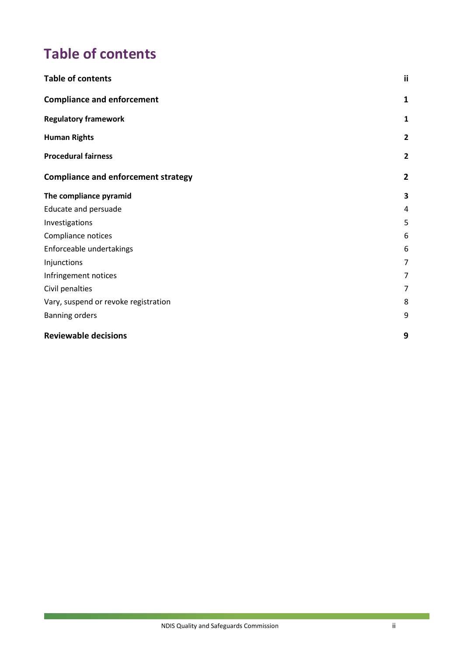# <span id="page-2-0"></span>**Table of contents**

| <b>Table of contents</b>                   | ij             |
|--------------------------------------------|----------------|
| <b>Compliance and enforcement</b>          | 1              |
| <b>Regulatory framework</b>                | 1              |
| <b>Human Rights</b>                        | $\overline{2}$ |
| <b>Procedural fairness</b>                 | $\overline{2}$ |
| <b>Compliance and enforcement strategy</b> | $\mathbf{2}$   |
| The compliance pyramid                     | 3              |
| Educate and persuade                       | 4              |
| Investigations                             | 5              |
| Compliance notices                         | 6              |
| Enforceable undertakings                   | 6              |
| Injunctions                                | 7              |
| Infringement notices                       | 7              |
| Civil penalties                            | 7              |
| Vary, suspend or revoke registration       | 8              |
| <b>Banning orders</b>                      | 9              |
| <b>Reviewable decisions</b>                | 9              |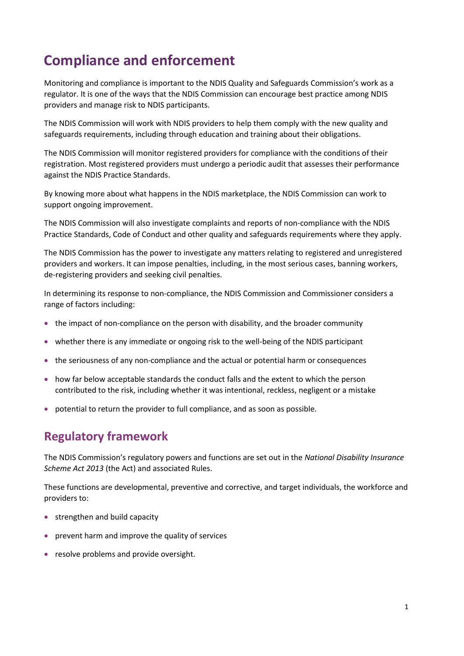# <span id="page-3-0"></span>**Compliance and enforcement**

Monitoring and compliance is important to the NDIS Quality and Safeguards Commission's work as a regulator. It is one of the ways that the NDIS Commission can encourage best practice among NDIS providers and manage risk to NDIS participants.

The NDIS Commission will work with NDIS providers to help them comply with the new quality and safeguards requirements, including through education and training about their obligations.

The NDIS Commission will monitor registered providers for compliance with the conditions of their registration. Most registered providers must undergo a periodic audit that assesses their performance against the NDIS Practice Standards.

By knowing more about what happens in the NDIS marketplace, the NDIS Commission can work to support ongoing improvement.

The NDIS Commission will also investigate complaints and reports of non-compliance with the NDIS Practice Standards, Code of Conduct and other quality and safeguards requirements where they apply.

The NDIS Commission has the power to investigate any matters relating to registered and unregistered providers and workers. It can impose penalties, including, in the most serious cases, banning workers, de-registering providers and seeking civil penalties.

In determining its response to non-compliance, the NDIS Commission and Commissioner considers a range of factors including:

- the impact of non-compliance on the person with disability, and the broader community
- whether there is any immediate or ongoing risk to the well-being of the NDIS participant
- the seriousness of any non-compliance and the actual or potential harm or consequences
- how far below acceptable standards the conduct falls and the extent to which the person contributed to the risk, including whether it was intentional, reckless, negligent or a mistake
- potential to return the provider to full compliance, and as soon as possible.

# <span id="page-3-1"></span>**Regulatory framework**

The NDIS Commission's regulatory powers and functions are set out in the *National Disability Insurance Scheme Act 2013* (the Act) and associated Rules.

These functions are developmental, preventive and corrective, and target individuals, the workforce and providers to:

- strengthen and build capacity
- prevent harm and improve the quality of services
- resolve problems and provide oversight.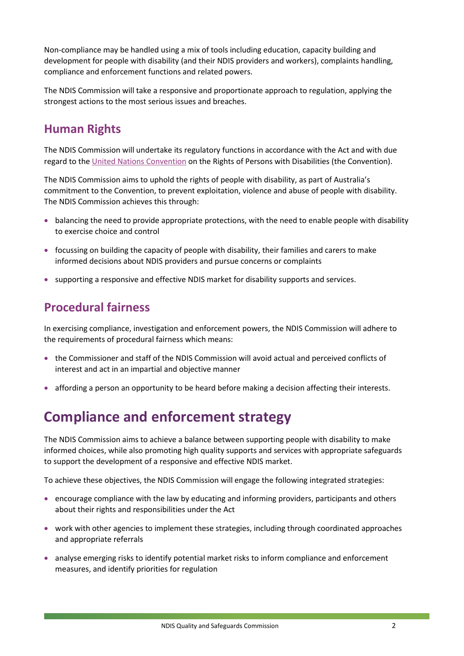Non-compliance may be handled using a mix of tools including education, capacity building and development for people with disability (and their NDIS providers and workers), complaints handling, compliance and enforcement functions and related powers.

The NDIS Commission will take a responsive and proportionate approach to regulation, applying the strongest actions to the most serious issues and breaches.

# <span id="page-4-0"></span>**Human Rights**

The NDIS Commission will undertake its regulatory functions in accordance with the Act and with due regard to the [United Nations Convention](https://www.humanrights.gov.au/our-work/disability-rights/international/united-nations-convention-rights-persons-disabilities) on the Rights of Persons with Disabilities (the Convention).

The NDIS Commission aims to uphold the rights of people with disability, as part of Australia's commitment to the Convention, to prevent exploitation, violence and abuse of people with disability. The NDIS Commission achieves this through:

- balancing the need to provide appropriate protections, with the need to enable people with disability to exercise choice and control
- focussing on building the capacity of people with disability, their families and carers to make informed decisions about NDIS providers and pursue concerns or complaints
- supporting a responsive and effective NDIS market for disability supports and services.

# <span id="page-4-1"></span>**Procedural fairness**

In exercising compliance, investigation and enforcement powers, the NDIS Commission will adhere to the requirements of procedural fairness which means:

- the Commissioner and staff of the NDIS Commission will avoid actual and perceived conflicts of interest and act in an impartial and objective manner
- affording a person an opportunity to be heard before making a decision affecting their interests.

# <span id="page-4-2"></span>**Compliance and enforcement strategy**

The NDIS Commission aims to achieve a balance between supporting people with disability to make informed choices, while also promoting high quality supports and services with appropriate safeguards to support the development of a responsive and effective NDIS market.

To achieve these objectives, the NDIS Commission will engage the following integrated strategies:

- encourage compliance with the law by educating and informing providers, participants and others about their rights and responsibilities under the Act
- work with other agencies to implement these strategies, including through coordinated approaches and appropriate referrals
- analyse emerging risks to identify potential market risks to inform compliance and enforcement measures, and identify priorities for regulation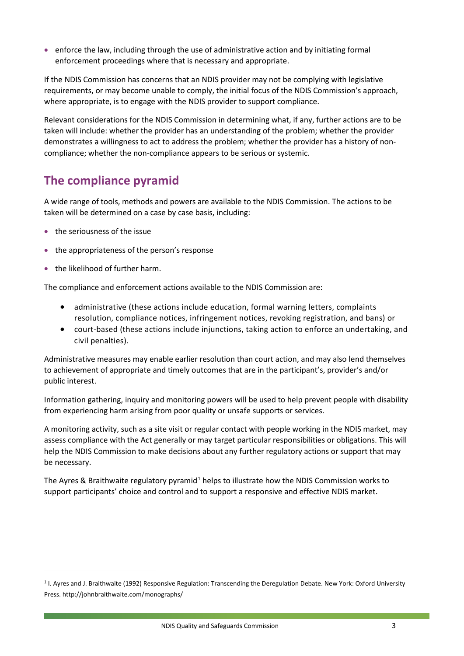• enforce the law, including through the use of administrative action and by initiating formal enforcement proceedings where that is necessary and appropriate.

If the NDIS Commission has concerns that an NDIS provider may not be complying with legislative requirements, or may become unable to comply, the initial focus of the NDIS Commission's approach, where appropriate, is to engage with the NDIS provider to support compliance.

Relevant considerations for the NDIS Commission in determining what, if any, further actions are to be taken will include: whether the provider has an understanding of the problem; whether the provider demonstrates a willingness to act to address the problem; whether the provider has a history of noncompliance; whether the non-compliance appears to be serious or systemic.

# <span id="page-5-0"></span>**The compliance pyramid**

A wide range of tools, methods and powers are available to the NDIS Commission. The actions to be taken will be determined on a case by case basis, including:

- the seriousness of the issue
- the appropriateness of the person's response
- the likelihood of further harm.

**.** 

The compliance and enforcement actions available to the NDIS Commission are:

- administrative (these actions include education, formal warning letters, complaints resolution, compliance notices, infringement notices, revoking registration, and bans) or
- court-based (these actions include injunctions, taking action to enforce an undertaking, and civil penalties).

Administrative measures may enable earlier resolution than court action, and may also lend themselves to achievement of appropriate and timely outcomes that are in the participant's, provider's and/or public interest.

Information gathering, inquiry and monitoring powers will be used to help prevent people with disability from experiencing harm arising from poor quality or unsafe supports or services.

A monitoring activity, such as a site visit or regular contact with people working in the NDIS market, may assess compliance with the Act generally or may target particular responsibilities or obligations. This will help the NDIS Commission to make decisions about any further regulatory actions or support that may be necessary.

The Ayres & Braithwaite regulatory pyramid<sup>[1](#page-5-1)</sup> helps to illustrate how the NDIS Commission works to support participants' choice and control and to support a responsive and effective NDIS market.

<span id="page-5-1"></span><sup>1</sup> I. Ayres and J. Braithwaite (1992) Responsive Regulation: Transcending the Deregulation Debate. New York: Oxford University Press. http://johnbraithwaite.com/monographs/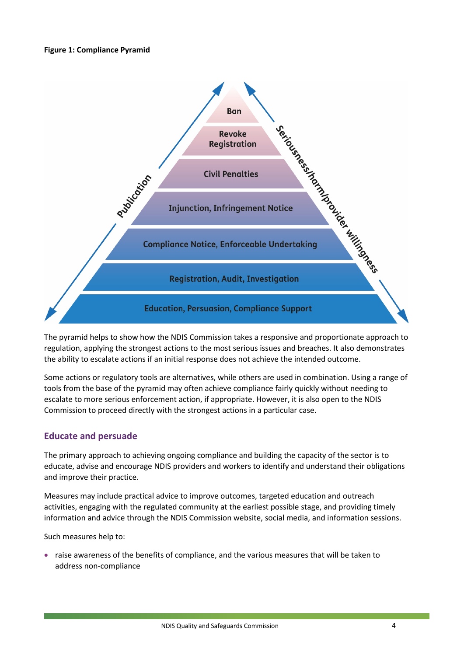#### **Figure 1: Compliance Pyramid**



The pyramid helps to show how the NDIS Commission takes a responsive and proportionate approach to regulation, applying the strongest actions to the most serious issues and breaches. It also demonstrates the ability to escalate actions if an initial response does not achieve the intended outcome.

Some actions or regulatory tools are alternatives, while others are used in combination. Using a range of tools from the base of the pyramid may often achieve compliance fairly quickly without needing to escalate to more serious enforcement action, if appropriate. However, it is also open to the NDIS Commission to proceed directly with the strongest actions in a particular case.

## <span id="page-6-0"></span>**Educate and persuade**

The primary approach to achieving ongoing compliance and building the capacity of the sector is to educate, advise and encourage NDIS providers and workers to identify and understand their obligations and improve their practice.

Measures may include practical advice to improve outcomes, targeted education and outreach activities, engaging with the regulated community at the earliest possible stage, and providing timely information and advice through the NDIS Commission website, social media, and information sessions.

Such measures help to:

• raise awareness of the benefits of compliance, and the various measures that will be taken to address non-compliance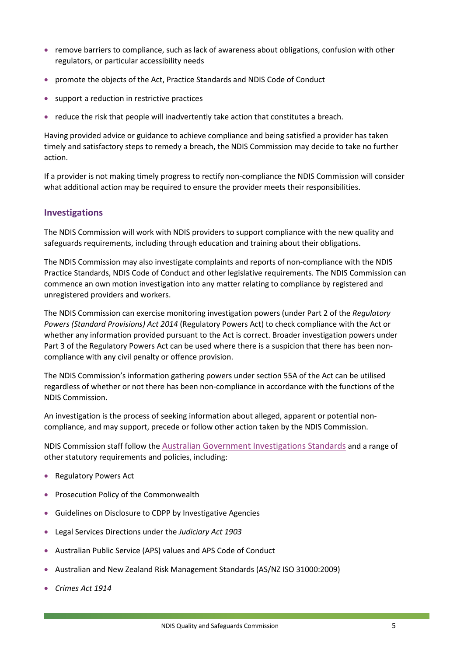- remove barriers to compliance, such as lack of awareness about obligations, confusion with other regulators, or particular accessibility needs
- promote the objects of the Act, Practice Standards and NDIS Code of Conduct
- support a reduction in restrictive practices
- reduce the risk that people will inadvertently take action that constitutes a breach.

Having provided advice or guidance to achieve compliance and being satisfied a provider has taken timely and satisfactory steps to remedy a breach, the NDIS Commission may decide to take no further action.

If a provider is not making timely progress to rectify non-compliance the NDIS Commission will consider what additional action may be required to ensure the provider meets their responsibilities.

#### <span id="page-7-0"></span>**Investigations**

The NDIS Commission will work with NDIS providers to support compliance with the new quality and safeguards requirements, including through education and training about their obligations.

The NDIS Commission may also investigate complaints and reports of non-compliance with the NDIS Practice Standards, NDIS Code of Conduct and other legislative requirements. The NDIS Commission can commence an own motion investigation into any matter relating to compliance by registered and unregistered providers and workers.

The NDIS Commission can exercise monitoring investigation powers (under Part 2 of the *Regulatory Powers (Standard Provisions) Act 2014* (Regulatory Powers Act) to check compliance with the Act or whether any information provided pursuant to the Act is correct. Broader investigation powers under Part 3 of the Regulatory Powers Act can be used where there is a suspicion that there has been noncompliance with any civil penalty or offence provision.

The NDIS Commission's information gathering powers under section 55A of the Act can be utilised regardless of whether or not there has been non-compliance in accordance with the functions of the NDIS Commission.

An investigation is the process of seeking information about alleged, apparent or potential noncompliance, and may support, precede or follow other action taken by the NDIS Commission.

NDIS Commission staff follow the [Australian Government Investigations Standards](https://www.ag.gov.au/CrimeAndCorruption/FraudControl/Documents/AGIS%202011.pdf) and a range of other statutory requirements and policies, including:

- Regulatory Powers Act
- Prosecution Policy of the Commonwealth
- Guidelines on Disclosure to CDPP by Investigative Agencies
- Legal Services Directions under the *Judiciary Act 1903*
- Australian Public Service (APS) values and APS Code of Conduct
- Australian and New Zealand Risk Management Standards (AS/NZ ISO 31000:2009)
- *Crimes Act 1914*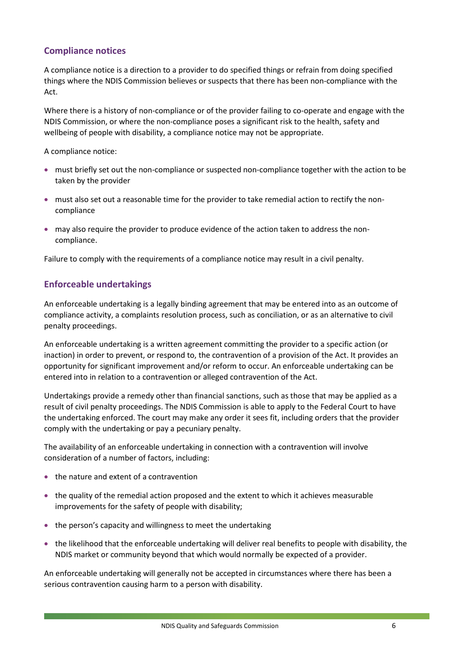## <span id="page-8-0"></span>**Compliance notices**

A compliance notice is a direction to a provider to do specified things or refrain from doing specified things where the NDIS Commission believes or suspects that there has been non-compliance with the Act.

Where there is a history of non-compliance or of the provider failing to co-operate and engage with the NDIS Commission, or where the non-compliance poses a significant risk to the health, safety and wellbeing of people with disability, a compliance notice may not be appropriate.

A compliance notice:

- must briefly set out the non-compliance or suspected non-compliance together with the action to be taken by the provider
- must also set out a reasonable time for the provider to take remedial action to rectify the noncompliance
- may also require the provider to produce evidence of the action taken to address the noncompliance.

Failure to comply with the requirements of a compliance notice may result in a civil penalty.

## <span id="page-8-1"></span>**Enforceable undertakings**

An enforceable undertaking is a legally binding agreement that may be entered into as an outcome of compliance activity, a complaints resolution process, such as conciliation, or as an alternative to civil penalty proceedings.

An enforceable undertaking is a written agreement committing the provider to a specific action (or inaction) in order to prevent, or respond to, the contravention of a provision of the Act. It provides an opportunity for significant improvement and/or reform to occur. An enforceable undertaking can be entered into in relation to a contravention or alleged contravention of the Act.

Undertakings provide a remedy other than financial sanctions, such as those that may be applied as a result of civil penalty proceedings. The NDIS Commission is able to apply to the Federal Court to have the undertaking enforced. The court may make any order it sees fit, including orders that the provider comply with the undertaking or pay a pecuniary penalty.

The availability of an enforceable undertaking in connection with a contravention will involve consideration of a number of factors, including:

- the nature and extent of a contravention
- the quality of the remedial action proposed and the extent to which it achieves measurable improvements for the safety of people with disability;
- the person's capacity and willingness to meet the undertaking
- the likelihood that the enforceable undertaking will deliver real benefits to people with disability, the NDIS market or community beyond that which would normally be expected of a provider.

An enforceable undertaking will generally not be accepted in circumstances where there has been a serious contravention causing harm to a person with disability.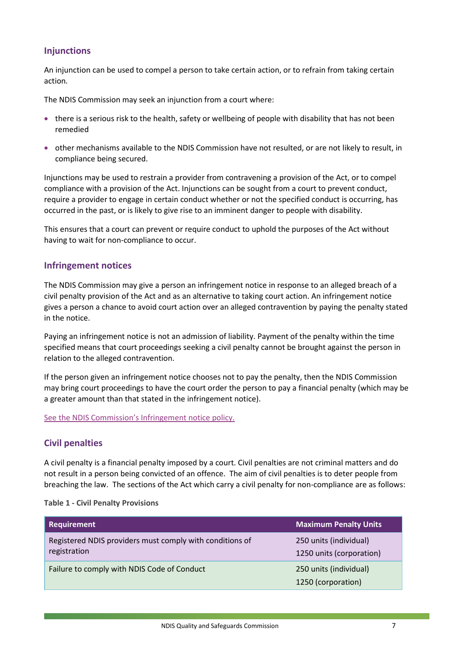## <span id="page-9-0"></span>**Injunctions**

An injunction can be used to compel a person to take certain action, or to refrain from taking certain action*.*

The NDIS Commission may seek an injunction from a court where:

- there is a serious risk to the health, safety or wellbeing of people with disability that has not been remedied
- other mechanisms available to the NDIS Commission have not resulted, or are not likely to result, in compliance being secured.

Injunctions may be used to restrain a provider from contravening a provision of the Act, or to compel compliance with a provision of the Act. Injunctions can be sought from a court to prevent conduct, require a provider to engage in certain conduct whether or not the specified conduct is occurring, has occurred in the past, or is likely to give rise to an imminent danger to people with disability.

This ensures that a court can prevent or require conduct to uphold the purposes of the Act without having to wait for non-compliance to occur.

## <span id="page-9-1"></span>**Infringement notices**

The NDIS Commission may give a person an infringement notice in response to an alleged breach of a civil penalty provision of the Act and as an alternative to taking court action. An infringement notice gives a person a chance to avoid court action over an alleged contravention by paying the penalty stated in the notice.

Paying an infringement notice is not an admission of liability. Payment of the penalty within the time specified means that court proceedings seeking a civil penalty cannot be brought against the person in relation to the alleged contravention.

If the person given an infringement notice chooses not to pay the penalty, then the NDIS Commission may bring court proceedings to have the court order the person to pay a financial penalty (which may be a greater amount than that stated in the infringement notice).

[See the NDIS Commission's Infringement notice policy.](https://www.ndiscommission.gov.au/document/1296)

## <span id="page-9-2"></span>**Civil penalties**

A civil penalty is a financial penalty imposed by a court. Civil penalties are not criminal matters and do not result in a person being convicted of an offence. The aim of civil penalties is to deter people from breaching the law. The sections of the Act which carry a civil penalty for non-compliance are as follows:

#### **Table 1 - Civil Penalty Provisions**

| Requirement                                                              | <b>Maximum Penalty Units</b>                       |
|--------------------------------------------------------------------------|----------------------------------------------------|
| Registered NDIS providers must comply with conditions of<br>registration | 250 units (individual)<br>1250 units (corporation) |
| Failure to comply with NDIS Code of Conduct                              | 250 units (individual)<br>1250 (corporation)       |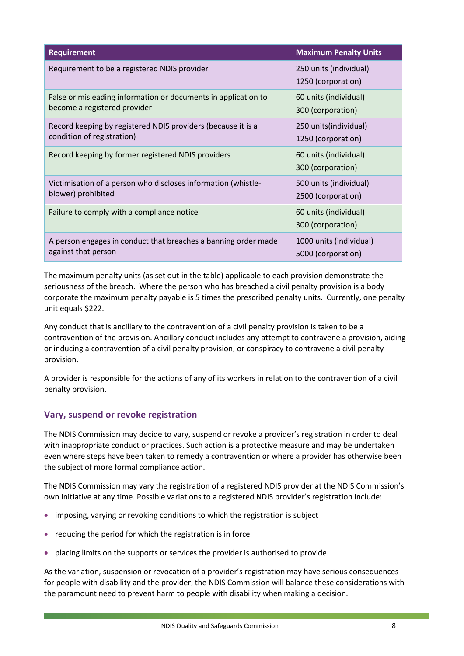| <b>Requirement</b>                                             | <b>Maximum Penalty Units</b>                 |
|----------------------------------------------------------------|----------------------------------------------|
| Requirement to be a registered NDIS provider                   | 250 units (individual)<br>1250 (corporation) |
| False or misleading information or documents in application to | 60 units (individual)                        |
| become a registered provider                                   | 300 (corporation)                            |
| Record keeping by registered NDIS providers (because it is a   | 250 units(individual)                        |
| condition of registration)                                     | 1250 (corporation)                           |
| Record keeping by former registered NDIS providers             | 60 units (individual)<br>300 (corporation)   |
| Victimisation of a person who discloses information (whistle-  | 500 units (individual)                       |
| blower) prohibited                                             | 2500 (corporation)                           |
| Failure to comply with a compliance notice                     | 60 units (individual)<br>300 (corporation)   |
| A person engages in conduct that breaches a banning order made | 1000 units (individual)                      |
| against that person                                            | 5000 (corporation)                           |

The maximum penalty units (as set out in the table) applicable to each provision demonstrate the seriousness of the breach. Where the person who has breached a civil penalty provision is a body corporate the maximum penalty payable is 5 times the prescribed penalty units. Currently, one penalty unit equals \$222.

Any conduct that is ancillary to the contravention of a civil penalty provision is taken to be a contravention of the provision. Ancillary conduct includes any attempt to contravene a provision, aiding or inducing a contravention of a civil penalty provision, or conspiracy to contravene a civil penalty provision.

A provider is responsible for the actions of any of its workers in relation to the contravention of a civil penalty provision.

## <span id="page-10-0"></span>**Vary, suspend or revoke registration**

The NDIS Commission may decide to vary, suspend or revoke a provider's registration in order to deal with inappropriate conduct or practices. Such action is a protective measure and may be undertaken even where steps have been taken to remedy a contravention or where a provider has otherwise been the subject of more formal compliance action.

The NDIS Commission may vary the registration of a registered NDIS provider at the NDIS Commission's own initiative at any time. Possible variations to a registered NDIS provider's registration include:

- imposing, varying or revoking conditions to which the registration is subject
- reducing the period for which the registration is in force
- placing limits on the supports or services the provider is authorised to provide.

As the variation, suspension or revocation of a provider's registration may have serious consequences for people with disability and the provider, the NDIS Commission will balance these considerations with the paramount need to prevent harm to people with disability when making a decision.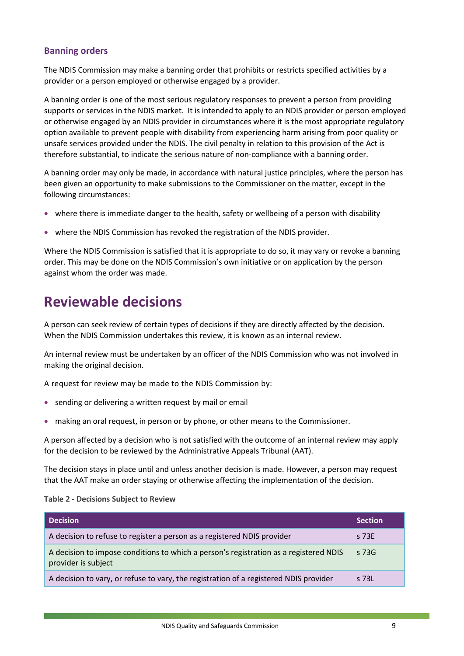## <span id="page-11-0"></span>**Banning orders**

The NDIS Commission may make a banning order that prohibits or restricts specified activities by a provider or a person employed or otherwise engaged by a provider.

A banning order is one of the most serious regulatory responses to prevent a person from providing supports or services in the NDIS market. It is intended to apply to an NDIS provider or person employed or otherwise engaged by an NDIS provider in circumstances where it is the most appropriate regulatory option available to prevent people with disability from experiencing harm arising from poor quality or unsafe services provided under the NDIS. The civil penalty in relation to this provision of the Act is therefore substantial, to indicate the serious nature of non-compliance with a banning order.

A banning order may only be made, in accordance with natural justice principles, where the person has been given an opportunity to make submissions to the Commissioner on the matter, except in the following circumstances:

- where there is immediate danger to the health, safety or wellbeing of a person with disability
- where the NDIS Commission has revoked the registration of the NDIS provider.

Where the NDIS Commission is satisfied that it is appropriate to do so, it may vary or revoke a banning order. This may be done on the NDIS Commission's own initiative or on application by the person against whom the order was made.

# <span id="page-11-1"></span>**Reviewable decisions**

A person can seek review of certain types of decisions if they are directly affected by the decision. When the NDIS Commission undertakes this review, it is known as an internal review.

An internal review must be undertaken by an officer of the NDIS Commission who was not involved in making the original decision.

A request for review may be made to the NDIS Commission by:

- sending or delivering a written request by mail or email
- making an oral request, in person or by phone, or other means to the Commissioner.

A person affected by a decision who is not satisfied with the outcome of an internal review may apply for the decision to be reviewed by the Administrative Appeals Tribunal (AAT).

The decision stays in place until and unless another decision is made. However, a person may request that the AAT make an order staying or otherwise affecting the implementation of the decision.

#### **Table 2 - Decisions Subject to Review**

| Decision                                                                                                     | <b>Section</b> |
|--------------------------------------------------------------------------------------------------------------|----------------|
| A decision to refuse to register a person as a registered NDIS provider                                      | s 73E          |
| A decision to impose conditions to which a person's registration as a registered NDIS<br>provider is subject | $\sqrt{5}$ 73G |
| A decision to vary, or refuse to vary, the registration of a registered NDIS provider                        | s 73L          |